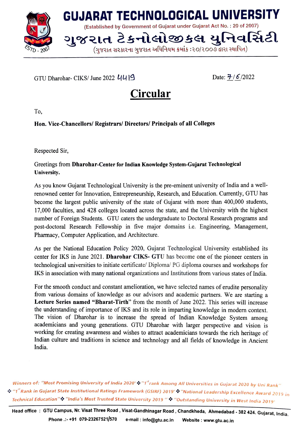

## GTU Dharohar-CIKS/ June 2022  $UU$ |9 Date:  $\frac{\overline{7}}{6}$ /2022

## Circular

To,

## Hon. Vice-Chancellors/ Registrars/ Directors/ Principals of all Colleges

Respected Sir,

## Greetings from Dharohar-Center for Indian Knowledge System-Gujarat Technological University.

As you know Gujarat Technological University is the pre-eminent university of India and a wellrenowned center for Innovation, Entrepreneurship, Research, and Education. Currently, GTU has become the largest public university of the state of Gujarat with more than 400,000 students 17,000 faculties, and 428 colleges located across the state, and the University with the highest number of Foreign Students. GTU caters the undergraduate to Doctoral Research programs and post-doctoral Research Fellowship in five major domains i.e. Engineering, Management, Pharmacy, Computer Application, and Architecture.

As per the National Education Policy 2020, Gujarat Technological University established its center for IKS in June 2021. Dharohar CIKS- GTU has become one of the pioneer centers in technological universities to initiate certificate/ Diploma/ PG diploma courses and workshops for IKS in association with many national organizations and Institutions from various states of India.

For the smooth conduct and constant amelioration, we have selected names of erudite personality from various domains of knowledge as our advisors and academic partners. We are starting a Lecture Series named "Bharat-Tirth" from the month of June 2022. This series will increase the understanding of importance of lKS and its role in imparting knowledge in moderm context. The vision of Dharohar is to increase the spread of Indian Knowledge System among academicians and young generations. GTU Dharohar with larger perspective and vision is working for creating awareness and wishes to attract academicians towards the rich heritage of Indian culture and traditions in science and technology and all fields of knowledge in Ancient India.

Winners of: "Most Promising University of India 2020" $\cdot$ " "T" rank Among All Universities in Gujarat 2020 by Uni Rank"  $\bm{G}$  "1<sup>st</sup> Rank in Gujarat State Institutional Ratings Framework (GSIRF) 2019"  $\bm{G}$  "National Leadership Excellence Award 2019 in Technical Education"\*\* "India's Most Trusted State University 2019 " \*\* "Outstanding University in West India 2019"